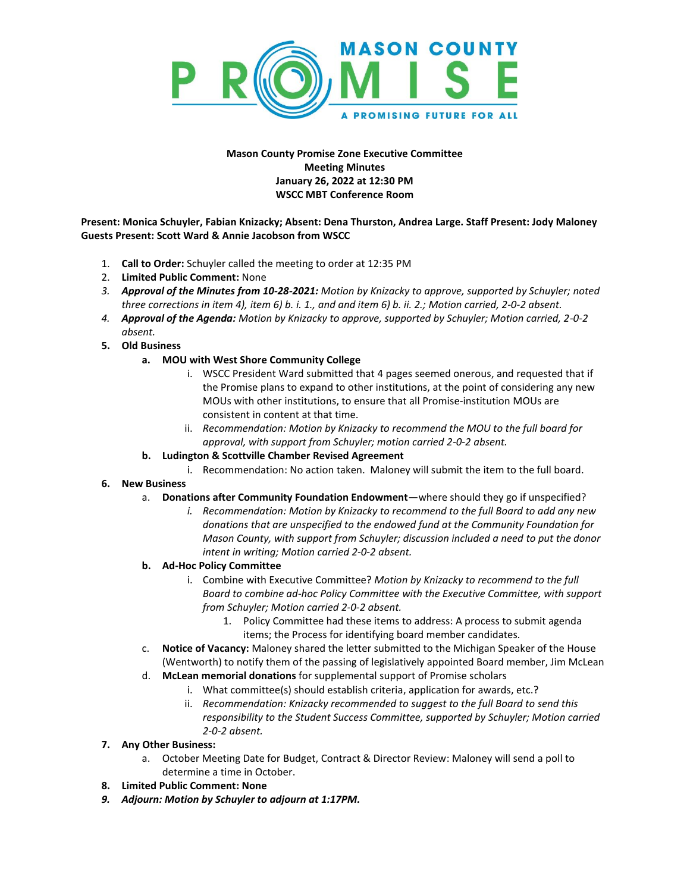

## **Mason County Promise Zone Executive Committee Meeting Minutes January 26, 2022 at 12:30 PM WSCC MBT Conference Room**

**Present: Monica Schuyler, Fabian Knizacky; Absent: Dena Thurston, Andrea Large. Staff Present: Jody Maloney Guests Present: Scott Ward & Annie Jacobson from WSCC**

- 1. **Call to Order:** Schuyler called the meeting to order at 12:35 PM
- 2. **Limited Public Comment:** None
- *3. Approval of the Minutes from 10-28-2021: Motion by Knizacky to approve, supported by Schuyler; noted three corrections in item 4), item 6) b. i. 1., and and item 6) b. ii. 2.; Motion carried, 2-0-2 absent.*
- *4. Approval of the Agenda: Motion by Knizacky to approve, supported by Schuyler; Motion carried, 2-0-2 absent.*
- **5. Old Business**
	- **a. MOU with West Shore Community College**
		- i. WSCC President Ward submitted that 4 pages seemed onerous, and requested that if the Promise plans to expand to other institutions, at the point of considering any new MOUs with other institutions, to ensure that all Promise-institution MOUs are consistent in content at that time.
		- ii. *Recommendation: Motion by Knizacky to recommend the MOU to the full board for approval, with support from Schuyler; motion carried 2-0-2 absent.*
	- **b. Ludington & Scottville Chamber Revised Agreement**
		- i. Recommendation: No action taken. Maloney will submit the item to the full board.
- **6. New Business**
	- a. **Donations after Community Foundation Endowment**—where should they go if unspecified?
		- *i. Recommendation: Motion by Knizacky to recommend to the full Board to add any new donations that are unspecified to the endowed fund at the Community Foundation for Mason County, with support from Schuyler; discussion included a need to put the donor intent in writing; Motion carried 2-0-2 absent.*
	- **b. Ad-Hoc Policy Committee**
		- i. Combine with Executive Committee? *Motion by Knizacky to recommend to the full Board to combine ad-hoc Policy Committee with the Executive Committee, with support from Schuyler; Motion carried 2-0-2 absent.*
			- 1. Policy Committee had these items to address: A process to submit agenda items; the Process for identifying board member candidates*.*
	- c. **Notice of Vacancy:** Maloney shared the letter submitted to the Michigan Speaker of the House (Wentworth) to notify them of the passing of legislatively appointed Board member, Jim McLean
	- d. **McLean memorial donations** for supplemental support of Promise scholars
		- i. What committee(s) should establish criteria, application for awards, etc.?
		- ii. *Recommendation: Knizacky recommended to suggest to the full Board to send this responsibility to the Student Success Committee, supported by Schuyler; Motion carried 2-0-2 absent.*
- **7. Any Other Business:** 
	- a. October Meeting Date for Budget, Contract & Director Review: Maloney will send a poll to determine a time in October.
- **8. Limited Public Comment: None**
- *9. Adjourn: Motion by Schuyler to adjourn at 1:17PM.*